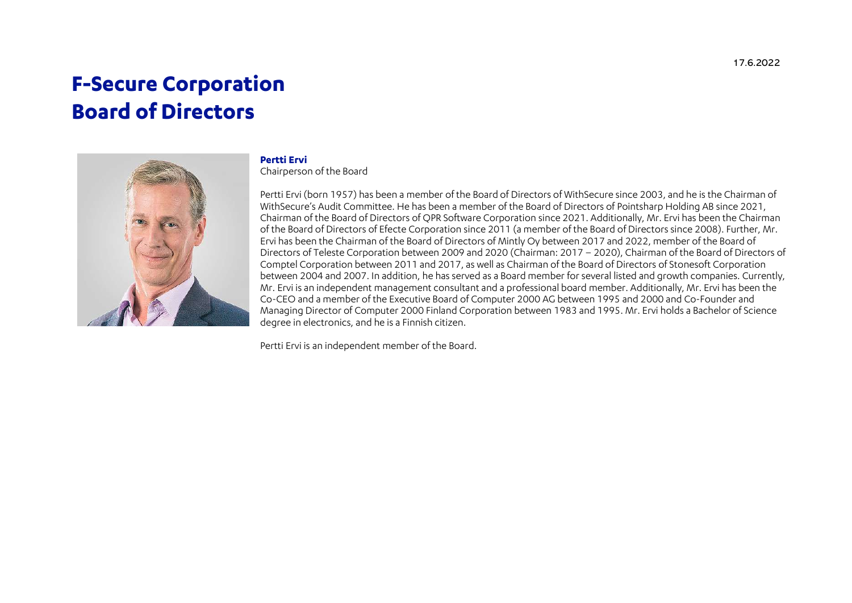# F-Secure Corporation Board of Directors



#### Pertti Ervi

Chairperson of the Board

Pertti Ervi (born 1957) has been a member of the Board of Directors of WithSecure since 2003, and he is the Chairman of WithSecure's Audit Committee. He has been a member of the Board of Directors of Pointsharp Holding AB since 2021, Chairman of the Board of Directors of QPR Software Corporation since 2021. Additionally, Mr. Ervi has been the Chairman of the Board of Directors of Efecte Corporation since 2011 (a member of the Board of Directors since 2008). Further, Mr. Ervi has been the Chairman of the Board of Directors of Mintly Oy between 2017 and 2022, member of the Board of Directors of Teleste Corporation between 2009 and 2020 (Chairman: 2017 – 2020), Chairman of the Board of Directors of Comptel Corporation between 2011 and 2017, as well as Chairman of the Board of Directors of Stonesoft Corporation between 2004 and 2007. In addition, he has served as a Board member for several listed and growth companies. Currently, Mr. Ervi is an independent management consultant and a professional board member. Additionally, Mr. Ervi has been the Co-CEO and a member of the Executive Board of Computer 2000 AG between 1995 and 2000 and Co-Founder and Managing Director of Computer 2000 Finland Corporation between 1983 and 1995. Mr. Ervi holds a Bachelor of Science degree in electronics, and he is a Finnish citizen.

Pertti Ervi is an independent member of the Board.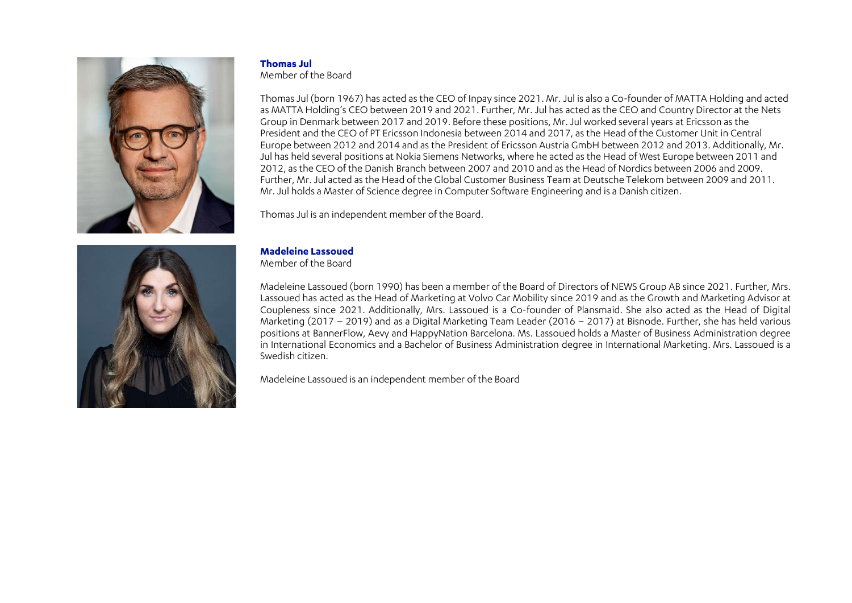



#### Thomas Jul

Member of the Board

Thomas Jul (born 1967) has acted as the CEO of Inpay since 2021. Mr. Jul is also a Co-founder of MATTA Holding and acted as MATTA Holding's CEO between 2019 and 2021. Further, Mr. Jul has acted as the CEO and Country Director at the Nets Group in Denmark between 2017 and 2019. Before these positions, Mr. Jul worked several years at Ericsson as the President and the CEO of PT Ericsson Indonesia between 2014 and 2017, as the Head of the Customer Unit in Central Europe between 2012 and 2014 and as the President of Ericsson Austria GmbH between 2012 and 2013. Additionally, Mr. Jul has held several positions at Nokia Siemens Networks, where he acted as the Head of West Europe between 2011 and 2012, as the CEO of the Danish Branch between 2007 and 2010 and as the Head of Nordics between 2006 and 2009. Further, Mr. Jul acted as the Head of the Global Customer Business Team at Deutsche Telekom between 2009 and 2011. Mr. Jul holds a Master of Science degree in Computer Software Engineering and is a Danish citizen.

Thomas Jul is an independent member of the Board.

## Madeleine Lassoued

Member of the Board

Madeleine Lassoued (born 1990) has been a member of the Board of Directors of NEWS Group AB since 2021. Further, Mrs. Lassoued has acted as the Head of Marketing at Volvo Car Mobility since 2019 and as the Growth and Marketing Advisor at Coupleness since 2021. Additionally, Mrs. Lassoued is a Co-founder of Plansmaid. She also acted as the Head of Digital Marketing (2017 – 2019) and as a Digital Marketing Team Leader (2016 – 2017) at Bisnode. Further, she has held various positions at BannerFlow, Aevy and HappyNation Barcelona. Ms. Lassoued holds a Master of Business Administration degree in International Economics and a Bachelor of Business Administration degree in International Marketing. Mrs. Lassoued is a Swedish citizen.

Madeleine Lassoued is an independent member of the Board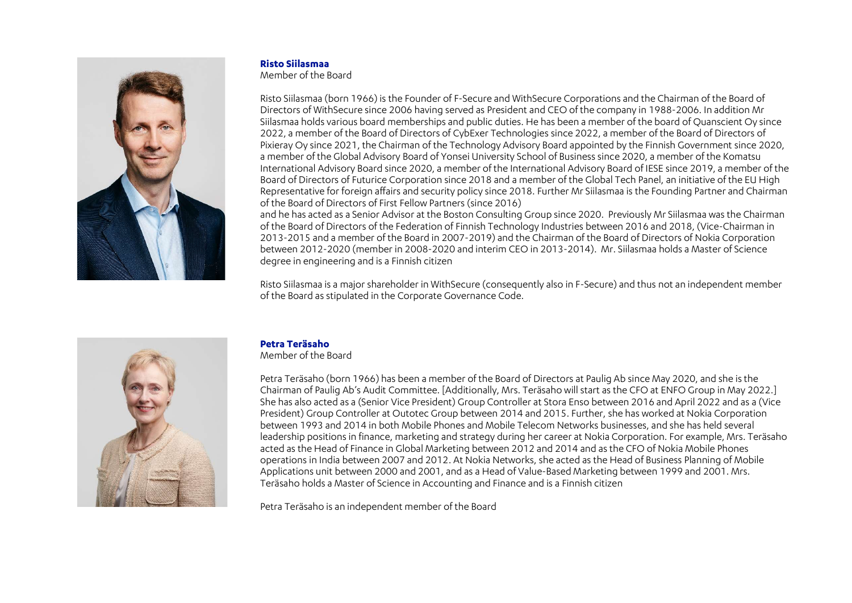

#### Risto Siilasmaa

Member of the Board

Risto Siilasmaa (born 1966) is the Founder of F-Secure and WithSecure Corporations and the Chairman of the Board of Directors of WithSecure since 2006 having served as President and CEO of the company in 1988-2006. In addition Mr Siilasmaa holds various board memberships and public duties. He has been a member of the board of Quanscient Oy since 2022, a member of the Board of Directors of CybExer Technologies since 2022, a member of the Board of Directors of Pixieray Oy since 2021, the Chairman of the Technology Advisory Board appointed by the Finnish Government since 2020, a member of the Global Advisory Board of Yonsei University School of Business since 2020, a member of the Komatsu International Advisory Board since 2020, a member of the International Advisory Board of IESE since 2019, a member of the Board of Directors of Futurice Corporation since 2018 and a member of the Global Tech Panel, an initiative of the EU High Representative for foreign affairs and security policy since 2018. Further Mr Siilasmaa is the Founding Partner and Chairman of the Board of Directors of First Fellow Partners (since 2016)

and he has acted as a Senior Advisor at the Boston Consulting Group since 2020. Previously Mr Siilasmaa was the Chairman of the Board of Directors of the Federation of Finnish Technology Industries between 2016 and 2018, (Vice-Chairman in 2013-2015 and a member of the Board in 2007-2019) and the Chairman of the Board of Directors of Nokia Corporation between 2012-2020 (member in 2008-2020 and interim CEO in 2013-2014). Mr. Siilasmaa holds a Master of Science degree in engineering and is a Finnish citizen

Risto Siilasmaa is a major shareholder in WithSecure (consequently also in F-Secure) and thus not an independent member of the Board as stipulated in the Corporate Governance Code.



### Petra Teräsaho

Member of the Board

Petra Teräsaho (born 1966) has been a member of the Board of Directors at Paulig Ab since May 2020, and she is the Chairman of Paulig Ab's Audit Committee. [Additionally, Mrs. Teräsaho will start as the CFO at ENFO Group in May 2022.] She has also acted as a (Senior Vice President) Group Controller at Stora Enso between 2016 and April 2022 and as a (Vice President) Group Controller at Outotec Group between 2014 and 2015. Further, she has worked at Nokia Corporation between 1993 and 2014 in both Mobile Phones and Mobile Telecom Networks businesses, and she has held several leadership positions in finance, marketing and strategy during her career at Nokia Corporation. For example, Mrs. Teräsaho acted as the Head of Finance in Global Marketing between 2012 and 2014 and as the CFO of Nokia Mobile Phones operations in India between 2007 and 2012. At Nokia Networks, she acted as the Head of Business Planning of Mobile Applications unit between 2000 and 2001, and as a Head of Value-Based Marketing between 1999 and 2001. Mrs. Teräsaho holds a Master of Science in Accounting and Finance and is a Finnish citizen

Petra Teräsaho is an independent member of the Board